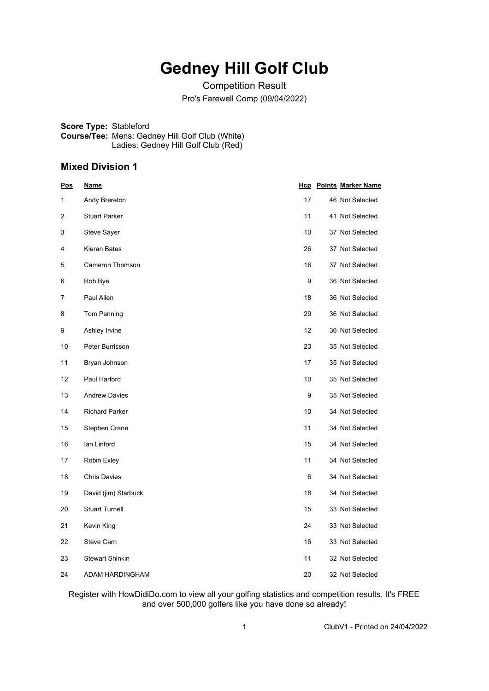# **Gedney Hill Golf Club**

Competition Result Pro's Farewell Comp (09/04/2022)

**Score Type:** Stableford **Course/Tee:** Mens: Gedney Hill Golf Club (White) Ladies: Gedney Hill Golf Club (Red)

### **Mixed Division 1**

| <u>Pos</u> | <u>Name</u>            |    | <b>Hcp</b> Points Marker Name |
|------------|------------------------|----|-------------------------------|
| 1          | Andy Brereton          | 17 | 46 Not Selected               |
| 2          | <b>Stuart Parker</b>   | 11 | 41 Not Selected               |
| 3          | Steve Sayer            | 10 | 37 Not Selected               |
| 4          | Kieran Bates           | 26 | 37 Not Selected               |
| 5          | Cameron Thomson        | 16 | 37 Not Selected               |
| 6          | Rob Bye                | 9  | 36 Not Selected               |
| 7          | Paul Allen             | 18 | 36 Not Selected               |
| 8          | Tom Penning            | 29 | 36 Not Selected               |
| 9          | Ashley Irvine          | 12 | 36 Not Selected               |
| 10         | Peter Burrisson        | 23 | 35 Not Selected               |
| 11         | Bryan Johnson          | 17 | 35 Not Selected               |
| 12         | Paul Harford           | 10 | 35 Not Selected               |
| 13         | <b>Andrew Davies</b>   | 9  | 35 Not Selected               |
| 14         | <b>Richard Parker</b>  | 10 | 34 Not Selected               |
| 15         | Stephen Crane          | 11 | 34 Not Selected               |
| 16         | lan Linford            | 15 | 34 Not Selected               |
| 17         | Robin Exley            | 11 | 34 Not Selected               |
| 18         | <b>Chris Davies</b>    | 6  | 34 Not Selected               |
| 19         | David (jim) Starbuck   | 18 | 34 Not Selected               |
| 20         | <b>Stuart Turnell</b>  | 15 | 33 Not Selected               |
| 21         | Kevin King             | 24 | 33 Not Selected               |
| 22         | Steve Carn             | 16 | 33 Not Selected               |
| 23         | <b>Stewart Shinkin</b> | 11 | 32 Not Selected               |
| 24         | ADAM HARDINGHAM        | 20 | 32 Not Selected               |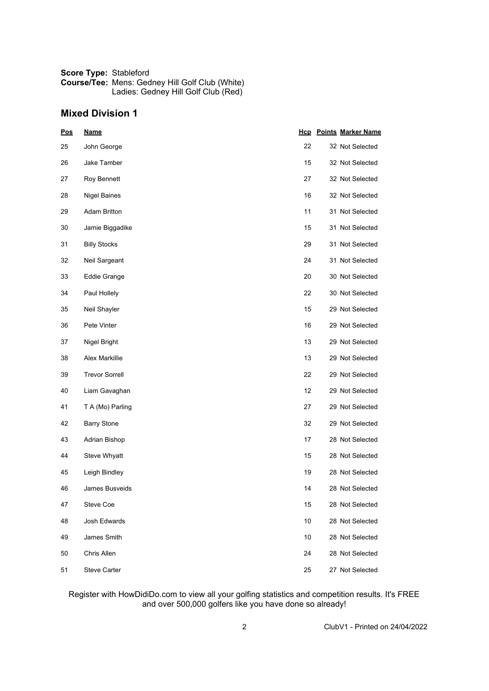| <b>Score Type: Stableford</b> |                                                        |
|-------------------------------|--------------------------------------------------------|
|                               | <b>Course/Tee: Mens: Gedney Hill Golf Club (White)</b> |
|                               | Ladies: Gedney Hill Golf Club (Red)                    |

## **Mixed Division 1**

| <b>Pos</b> | <b>Name</b>           |    | <b>Hcp</b> Points Marker Name |
|------------|-----------------------|----|-------------------------------|
| 25         | John George           | 22 | 32 Not Selected               |
| 26         | Jake Tamber           | 15 | 32 Not Selected               |
| 27         | Roy Bennett           | 27 | 32 Not Selected               |
| 28         | <b>Nigel Baines</b>   | 16 | 32 Not Selected               |
| 29         | <b>Adam Britton</b>   | 11 | 31 Not Selected               |
| 30         | Jamie Biggadike       | 15 | 31 Not Selected               |
| 31         | <b>Billy Stocks</b>   | 29 | 31 Not Selected               |
| 32         | Neil Sargeant         | 24 | 31 Not Selected               |
| 33         | Eddie Grange          | 20 | 30 Not Selected               |
| 34         | Paul Hollely          | 22 | 30 Not Selected               |
| 35         | Neil Shayler          | 15 | 29 Not Selected               |
| 36         | Pete Vinter           | 16 | 29 Not Selected               |
| 37         | Nigel Bright          | 13 | 29 Not Selected               |
| 38         | Alex Markillie        | 13 | 29 Not Selected               |
| 39         | <b>Trevor Sorrell</b> | 22 | 29 Not Selected               |
| 40         | Liam Gavaghan         | 12 | 29 Not Selected               |
| 41         | T A (Mo) Parling      | 27 | 29 Not Selected               |
| 42         | <b>Barry Stone</b>    | 32 | 29 Not Selected               |
| 43         | Adrian Bishop         | 17 | 28 Not Selected               |
| 44         | Steve Whyatt          | 15 | 28 Not Selected               |
| 45         | Leigh Bindley         | 19 | 28 Not Selected               |
| 46         | James Busveids        | 14 | 28 Not Selected               |
| 47         | Steve Coe             | 15 | 28 Not Selected               |
| 48         | Josh Edwards          | 10 | 28 Not Selected               |
| 49         | James Smith           | 10 | 28 Not Selected               |
| 50         | Chris Allen           | 24 | 28 Not Selected               |
| 51         | Steve Carter          | 25 | 27 Not Selected               |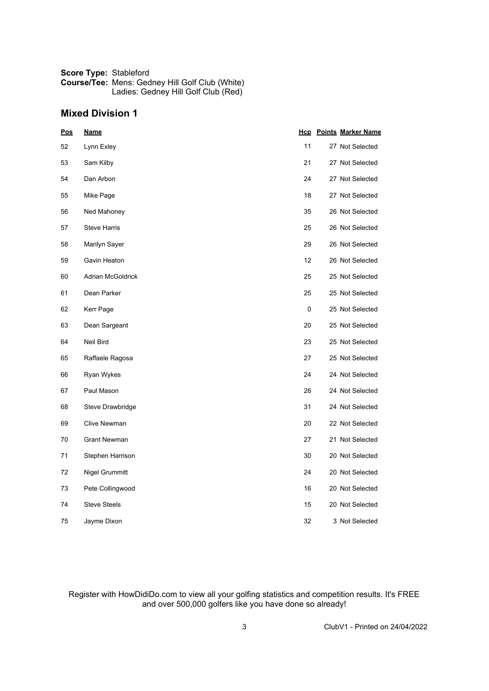| <b>Score Type: Stableford</b> |                                                        |
|-------------------------------|--------------------------------------------------------|
|                               | <b>Course/Tee: Mens: Gedney Hill Golf Club (White)</b> |
|                               | Ladies: Gedney Hill Golf Club (Red)                    |

## **Mixed Division 1**

| <b>Pos</b> | <b>Name</b>              |    | <b>Hcp</b> Points Marker Name |
|------------|--------------------------|----|-------------------------------|
| 52         | Lynn Exley               | 11 | 27 Not Selected               |
| 53         | Sam Kilby                | 21 | 27 Not Selected               |
| 54         | Dan Arbon                | 24 | 27 Not Selected               |
| 55         | Mike Page                | 18 | 27 Not Selected               |
| 56         | Ned Mahoney              | 35 | 26 Not Selected               |
| 57         | <b>Steve Harris</b>      | 25 | 26 Not Selected               |
| 58         | Marilyn Sayer            | 29 | 26 Not Selected               |
| 59         | Gavin Heaton             | 12 | 26 Not Selected               |
| 60         | <b>Adrian McGoldrick</b> | 25 | 25 Not Selected               |
| 61         | Dean Parker              | 25 | 25 Not Selected               |
| 62         | Kerr Page                | 0  | 25 Not Selected               |
| 63         | Dean Sargeant            | 20 | 25 Not Selected               |
| 64         | Neil Bird                | 23 | 25 Not Selected               |
| 65         | Raffaele Ragosa          | 27 | 25 Not Selected               |
| 66         | Ryan Wykes               | 24 | 24 Not Selected               |
| 67         | Paul Mason               | 26 | 24 Not Selected               |
| 68         | Steve Drawbridge         | 31 | 24 Not Selected               |
| 69         | Clive Newman             | 20 | 22 Not Selected               |
| 70         | <b>Grant Newman</b>      | 27 | 21 Not Selected               |
| 71         | Stephen Harrison         | 30 | 20 Not Selected               |
| 72         | Nigel Grummitt           | 24 | 20 Not Selected               |
| 73         | Pete Collingwood         | 16 | 20 Not Selected               |
| 74         | <b>Steve Steels</b>      | 15 | 20 Not Selected               |
| 75         | Jayme Dixon              | 32 | 3 Not Selected                |